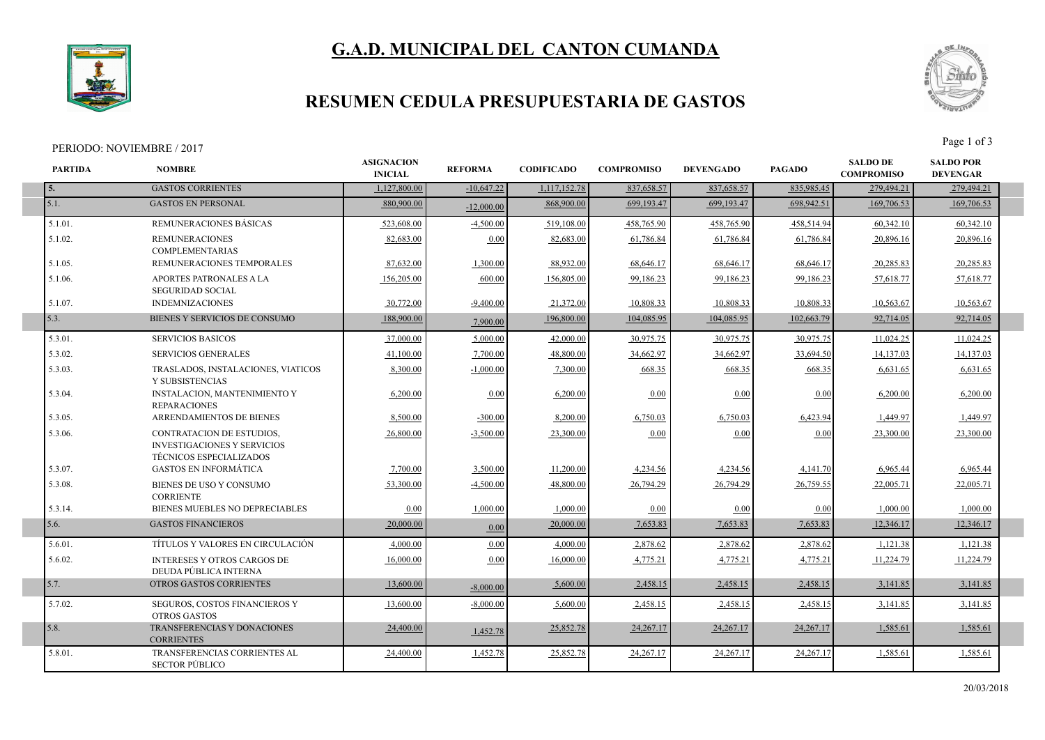# **G.A.D. MUNICIPAL DEL CANTON CUMANDA**



### **RESUMEN CEDULA PRESUPUESTARIA DE GASTOS**

## PERIODO: NOVIEMBRE / 2017<br>Page 1 of 3



| <b>PARTIDA</b> | <b>NOMBRE</b>                                                                                     | <b>ASIGNACION</b><br><b>INICIAL</b> | <b>REFORMA</b> | <b>CODIFICADO</b> | <b>COMPROMISO</b> | <b>DEVENGADO</b> | <b>PAGADO</b> | <b>SALDO DE</b><br><b>COMPROMISO</b> | <b>SALDO POR</b><br><b>DEVENGAR</b> |  |
|----------------|---------------------------------------------------------------------------------------------------|-------------------------------------|----------------|-------------------|-------------------|------------------|---------------|--------------------------------------|-------------------------------------|--|
| 5.             | <b>GASTOS CORRIENTES</b>                                                                          | 1.127.800.00                        | $-10,647.22$   | 1,117,152.78      | 837,658.57        | 837,658.57       | 835,985.45    | 279,494.21                           | 279,494.21                          |  |
| 5.1.           | <b>GASTOS EN PERSONAL</b>                                                                         | 880,900,00                          | $-12,000,00$   | 868,900.00        | 699.193.47        | 699,193.47       | 698.942.51    | 169,706.53                           | 169,706.53                          |  |
| $5.1.01$ .     | REMUNERACIONES BÁSICAS                                                                            | 523,608.00                          | $-4,500.00$    | 519,108.00        | 458,765.90        | 458,765.90       | 458,514.94    | 60,342.10                            | 60,342.10                           |  |
| $5.1.02$ .     | <b>REMUNERACIONES</b><br><b>COMPLEMENTARIAS</b>                                                   | 82.683.00                           | 0.00           | 82,683.00         | 61,786.84         | 61,786.84        | 61,786.84     | 20,896.16                            | 20,896.16                           |  |
| 5.1.05.        | REMUNERACIONES TEMPORALES                                                                         | 87,632.00                           | 1,300.00       | 88,932.00         | 68,646.17         | 68,646.17        | 68,646.17     | 20,285.83                            | 20,285.83                           |  |
| 5.1.06.        | APORTES PATRONALES A LA<br><b>SEGURIDAD SOCIAL</b>                                                | 156,205.00                          | 600.00         | 156,805.00        | 99,186.23         | 99,186.23        | 99,186.23     | 57,618.77                            | 57,618.77                           |  |
| 5.1.07.        | <b>INDEMNIZACIONES</b>                                                                            | 30.772.00                           | $-9.400.00$    | 21,372.00         | 10.808.33         | 10,808.33        | 10.808.33     | 10,563.67                            | 10,563.67                           |  |
| 5.3.           | BIENES Y SERVICIOS DE CONSUMO                                                                     | 188,900.00                          | 7.900.00       | 196,800.00        | 104,085.95        | 104,085.95       | 102,663.79    | 92,714.05                            | 92,714.05                           |  |
| 5.3.01.        | <b>SERVICIOS BASICOS</b>                                                                          | 37,000.00                           | 5,000.00       | 42,000.00         | 30,975.75         | 30,975.75        | 30,975.75     | 11,024.25                            | 11,024.25                           |  |
| 5.3.02.        | <b>SERVICIOS GENERALES</b>                                                                        | 41,100.00                           | 7,700.00       | 48,800.00         | 34,662.97         | 34,662.97        | 33,694.50     | 14,137.03                            | 14,137.03                           |  |
| 5.3.03.        | TRASLADOS, INSTALACIONES, VIATICOS<br>Y SUBSISTENCIAS                                             | 8.300.00                            | $-1.000.00$    | 7,300.00          | 668.35            | 668.35           | 668.35        | 6,631.65                             | 6,631.65                            |  |
| 5.3.04.        | <b>INSTALACION, MANTENIMIENTO Y</b><br><b>REPARACIONES</b>                                        | 6,200.00                            | 0.00           | 6,200.00          | 0.00              | 0.00             | 0.00          | 6,200.00                             | 6,200.00                            |  |
| 5.3.05.        | ARRENDAMIENTOS DE BIENES                                                                          | 8,500.00                            | $-300.00$      | 8,200.00          | 6,750.03          | 6,750.03         | 6,423.94      | 1,449.97                             | 1,449.97                            |  |
| 5.3.06.        | CONTRATACION DE ESTUDIOS,<br><b>INVESTIGACIONES Y SERVICIOS</b><br><b>TÉCNICOS ESPECIALIZADOS</b> | 26,800.00                           | $-3,500.00$    | 23,300.00         | 0.00              | 0.00             | 0.00          | 23,300.00                            | 23,300.00                           |  |
| 5.3.07.        | <b>GASTOS EN INFORMÁTICA</b>                                                                      | 7,700.00                            | 3,500.00       | 11,200.00         | 4,234.56          | 4,234.56         | 4,141.70      | 6,965.44                             | 6,965.44                            |  |
| 5.3.08.        | BIENES DE USO Y CONSUMO<br><b>CORRIENTE</b>                                                       | 53.300.00                           | $-4,500.00$    | 48.800.00         | 26,794.29         | 26,794.29        | 26,759.55     | 22,005.71                            | 22,005.71                           |  |
| 5.3.14.        | BIENES MUEBLES NO DEPRECIABLES                                                                    | 0.00                                | 1.000.00       | 1.000.00          | 0.00              | 0.00             | 0.00          | 1.000.00                             | 1.000.00                            |  |
| 5.6.           | <b>GASTOS FINANCIEROS</b>                                                                         | 20,000.00                           | 0.00           | 20,000.00         | 7,653.83          | 7,653.83         | 7,653.83      | 12,346.17                            | 12,346.17                           |  |
| 5.6.01.        | TÍTULOS Y VALORES EN CIRCULACIÓN                                                                  | 4.000.00                            | 0.00           | 4.000.00          | 2,878.62          | 2,878.62         | 2,878.62      | 1,121.38                             | 1,121.38                            |  |
| 5.6.02.        | <b>INTERESES Y OTROS CARGOS DE</b><br>DEUDA PÚBLICA INTERNA                                       | 16,000.00                           | 0.00           | 16,000.00         | 4,775.21          | 4,775.21         | 4,775.21      | 11,224.79                            | 11,224.79                           |  |
| 5.7.           | OTROS GASTOS CORRIENTES                                                                           | 13,600.00                           | $-8,000,00$    | 5,600.00          | 2,458.15          | 2,458.15         | 2,458.15      | 3,141.85                             | 3,141.85                            |  |
| 5.7.02.        | SEGUROS, COSTOS FINANCIEROS Y<br><b>OTROS GASTOS</b>                                              | 13,600.00                           | $-8,000,00$    | 5,600.00          | 2,458.15          | 2,458.15         | 2,458.15      | 3,141.85                             | 3,141.85                            |  |
| 5.8.           | TRANSFERENCIAS Y DONACIONES<br><b>CORRIENTES</b>                                                  | 24,400.00                           | 1,452.78       | 25,852.78         | 24, 267. 17       | 24, 267. 17      | 24, 267. 17   | 1,585.61                             | 1,585.61                            |  |
| 5.8.01.        | <b>TRANSFERENCIAS CORRIENTES AL</b><br><b>SECTOR PÚBLICO</b>                                      | 24,400.00                           | 1,452.78       | 25,852.78         | 24,267.17         | 24, 267. 17      | 24, 267. 17   | 1,585.61                             | 1,585.61                            |  |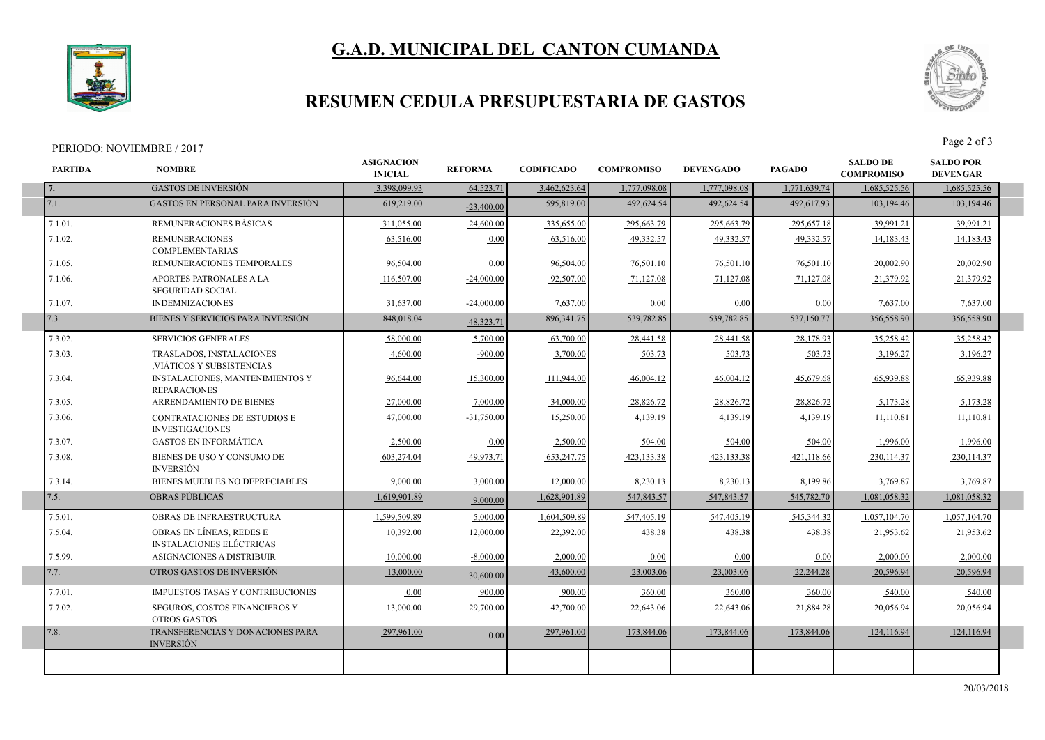# **G.A.D. MUNICIPAL DEL CANTON CUMANDA**



I

### **RESUMEN CEDULA PRESUPUESTARIA DE GASTOS**

#### PERIODO: NOVIEMBRE / 2017



| <b>GASTOS DE INVERSIÓN</b><br>3.398.099.93<br>64,523.71<br>3,462,623.64<br>1,777,098.08<br>1,777,098.08<br>1,771,639.74<br>1,685,525.56<br>7.<br>7.1.<br><b>GASTOS EN PERSONAL PARA INVERSIÓN</b><br>619,219.00<br>595,819.00<br>492,624.54<br>492,624.54<br>492,617.93<br>103,194.46<br>$-23,400,00$<br>7.1.01.<br>REMUNERACIONES BÁSICAS<br>311,055.00<br>24,600.00<br>335,655.00<br>295,663.79<br>295,663.79<br>295,657.18<br>39,991.21<br>7.1.02.<br>49.332.57<br>49,332.57<br><b>REMUNERACIONES</b><br>63,516.00<br>63,516.00<br>49.332.57<br>0.00<br>14,183.43<br><b>COMPLEMENTARIAS</b><br>7.1.05.<br>96,504.00<br>96,504.00<br>76,501.10<br>76,501.10<br>76,501.10<br>REMUNERACIONES TEMPORALES<br>0.00<br>20,002.90<br>7.1.06.<br>APORTES PATRONALES A LA<br>92,507.00<br>71,127.08<br>71,127.08<br>71,127.08<br>116,507.00<br>$-24,000.00$<br>21,379.92<br><b>SEGURIDAD SOCIAL</b><br>7.1.07.<br><b>INDEMNIZACIONES</b><br>31,637.00<br>$-24,000.00$<br>7,637.00<br>0.00<br>0.00<br>0.00<br>7,637.00<br>7.3.<br>BIENES Y SERVICIOS PARA INVERSIÓN<br>539,782.85<br>539,782.85<br>537,150.77<br>848,018.04<br>896, 341. 75<br>356,558.90<br>48.323.71<br>7.3.02.<br>58,000.00<br>63,700.00<br>35.258.42<br><b>SERVICIOS GENERALES</b><br>5,700.00<br>28,441.58<br>28,441.58<br>28,178.93<br>7.3.03.<br>4,600.00<br>3,700.00<br>503.73<br>503.73<br><b>TRASLADOS, INSTALACIONES</b><br>$-900.00$<br>503.73<br>3,196.27<br>VIÁTICOS Y SUBSISTENCIAS<br>7.3.04.<br><b>INSTALACIONES, MANTENIMIENTOS Y</b><br>15,300.00<br>111,944.00<br>46,004.12<br>46,004.12<br>45,679.68<br>65,939.88<br>96,644.00<br><b>REPARACIONES</b><br>7.3.05.<br>ARRENDAMIENTO DE BIENES<br>34,000.00<br>28,826.72<br>27,000.00<br>7,000.00<br>28,826.72<br>28,826.72<br>5,173.28<br>7.3.06.<br><b>CONTRATACIONES DE ESTUDIOS E</b><br>47,000.00<br>$-31,750.00$<br>15,250.00<br>4,139.19<br>4,139.19<br>4,139.19<br>11,110.81<br><b>INVESTIGACIONES</b><br>7.3.07.<br><b>GASTOS EN INFORMÁTICA</b><br>2,500.00<br>504.00<br>504.00<br>2,500.00<br>0.00<br>504.00<br>1,996.00<br>7.3.08.<br>BIENES DE USO Y CONSUMO DE<br>603,274.04<br>49,973.71<br>653,247.75<br>423,133.38<br>423,133.38<br>421,118.66<br>230,114.37<br><b>INVERSIÓN</b><br>7.3.14.<br>BIENES MUEBLES NO DEPRECIABLES<br>8,230.13<br>9,000.00<br>3,000.00<br>12,000.00<br>8,230.13<br>8,199.86<br>3,769.87<br>7.5.<br><b>OBRAS PÚBLICAS</b><br>1,619,901.89<br>1,628,901.89<br>547,843.57<br>547,843.57<br>545,782.70<br>1,081,058.32<br>9,000.00<br>7.5.01.<br>OBRAS DE INFRAESTRUCTURA<br>1.599.509.89<br>5,000.00<br>1,604,509.89<br>547,405.19<br>547,405.19<br>545,344.32<br>1,057,104.70<br>OBRAS EN LÍNEAS, REDES E<br>7.5.04.<br>10,392.00<br>12,000.00<br>22,392.00<br>438.38<br>438.38<br>438.38<br>21,953.62<br><b>INSTALACIONES ELÉCTRICAS</b><br>7.5.99.<br>ASIGNACIONES A DISTRIBUIR<br>10,000.00<br>$-8,000,00$<br>2,000.00<br>0.00<br>0.00<br>0.00<br>2,000.00<br>7.7.<br>OTROS GASTOS DE INVERSIÓN<br>23,003.06<br>13,000.00<br>43,600.00<br>23,003.06<br>22,244.28<br>20.596.94<br>30,600.00<br>7.7.01.<br><b>IMPUESTOS TASAS Y CONTRIBUCIONES</b><br>0.00<br>900.00<br>360.00<br>360.00<br>360.00<br>900.00<br>540.00<br>7.7.02.<br>SEGUROS, COSTOS FINANCIEROS Y<br>13,000.00<br>29,700.00<br>42,700.00<br>22,643.06<br>22,643.06<br>21,884.28<br>20,056.94 | <b>PARTIDA</b> | <b>NOMBRE</b> | <b>ASIGNACION</b><br><b>INICIAL</b> | <b>REFORMA</b> | <b>CODIFICADO</b> | <b>COMPROMISO</b> | <b>DEVENGADO</b> | <b>PAGADO</b> | <b>SALDO DE</b><br><b>COMPROMISO</b> | <b>SALDO POR</b><br><b>DEVENGAR</b> |
|------------------------------------------------------------------------------------------------------------------------------------------------------------------------------------------------------------------------------------------------------------------------------------------------------------------------------------------------------------------------------------------------------------------------------------------------------------------------------------------------------------------------------------------------------------------------------------------------------------------------------------------------------------------------------------------------------------------------------------------------------------------------------------------------------------------------------------------------------------------------------------------------------------------------------------------------------------------------------------------------------------------------------------------------------------------------------------------------------------------------------------------------------------------------------------------------------------------------------------------------------------------------------------------------------------------------------------------------------------------------------------------------------------------------------------------------------------------------------------------------------------------------------------------------------------------------------------------------------------------------------------------------------------------------------------------------------------------------------------------------------------------------------------------------------------------------------------------------------------------------------------------------------------------------------------------------------------------------------------------------------------------------------------------------------------------------------------------------------------------------------------------------------------------------------------------------------------------------------------------------------------------------------------------------------------------------------------------------------------------------------------------------------------------------------------------------------------------------------------------------------------------------------------------------------------------------------------------------------------------------------------------------------------------------------------------------------------------------------------------------------------------------------------------------------------------------------------------------------------------------------------------------------------------------------------------------------------------------------------------------------------------------------------------------------------------------------------------------------------------------------------------------------------------------------------------------------------------------------------------------------------------------------------------------------------------------------------|----------------|---------------|-------------------------------------|----------------|-------------------|-------------------|------------------|---------------|--------------------------------------|-------------------------------------|
|                                                                                                                                                                                                                                                                                                                                                                                                                                                                                                                                                                                                                                                                                                                                                                                                                                                                                                                                                                                                                                                                                                                                                                                                                                                                                                                                                                                                                                                                                                                                                                                                                                                                                                                                                                                                                                                                                                                                                                                                                                                                                                                                                                                                                                                                                                                                                                                                                                                                                                                                                                                                                                                                                                                                                                                                                                                                                                                                                                                                                                                                                                                                                                                                                                                                                                                                    |                |               |                                     |                |                   |                   |                  |               |                                      | 1,685,525.56                        |
|                                                                                                                                                                                                                                                                                                                                                                                                                                                                                                                                                                                                                                                                                                                                                                                                                                                                                                                                                                                                                                                                                                                                                                                                                                                                                                                                                                                                                                                                                                                                                                                                                                                                                                                                                                                                                                                                                                                                                                                                                                                                                                                                                                                                                                                                                                                                                                                                                                                                                                                                                                                                                                                                                                                                                                                                                                                                                                                                                                                                                                                                                                                                                                                                                                                                                                                                    |                |               |                                     |                |                   |                   |                  |               |                                      | 103,194.46                          |
|                                                                                                                                                                                                                                                                                                                                                                                                                                                                                                                                                                                                                                                                                                                                                                                                                                                                                                                                                                                                                                                                                                                                                                                                                                                                                                                                                                                                                                                                                                                                                                                                                                                                                                                                                                                                                                                                                                                                                                                                                                                                                                                                                                                                                                                                                                                                                                                                                                                                                                                                                                                                                                                                                                                                                                                                                                                                                                                                                                                                                                                                                                                                                                                                                                                                                                                                    |                |               |                                     |                |                   |                   |                  |               |                                      | 39,991.21                           |
|                                                                                                                                                                                                                                                                                                                                                                                                                                                                                                                                                                                                                                                                                                                                                                                                                                                                                                                                                                                                                                                                                                                                                                                                                                                                                                                                                                                                                                                                                                                                                                                                                                                                                                                                                                                                                                                                                                                                                                                                                                                                                                                                                                                                                                                                                                                                                                                                                                                                                                                                                                                                                                                                                                                                                                                                                                                                                                                                                                                                                                                                                                                                                                                                                                                                                                                                    |                |               |                                     |                |                   |                   |                  |               |                                      | 14,183.43                           |
|                                                                                                                                                                                                                                                                                                                                                                                                                                                                                                                                                                                                                                                                                                                                                                                                                                                                                                                                                                                                                                                                                                                                                                                                                                                                                                                                                                                                                                                                                                                                                                                                                                                                                                                                                                                                                                                                                                                                                                                                                                                                                                                                                                                                                                                                                                                                                                                                                                                                                                                                                                                                                                                                                                                                                                                                                                                                                                                                                                                                                                                                                                                                                                                                                                                                                                                                    |                |               |                                     |                |                   |                   |                  |               |                                      | 20,002.90                           |
|                                                                                                                                                                                                                                                                                                                                                                                                                                                                                                                                                                                                                                                                                                                                                                                                                                                                                                                                                                                                                                                                                                                                                                                                                                                                                                                                                                                                                                                                                                                                                                                                                                                                                                                                                                                                                                                                                                                                                                                                                                                                                                                                                                                                                                                                                                                                                                                                                                                                                                                                                                                                                                                                                                                                                                                                                                                                                                                                                                                                                                                                                                                                                                                                                                                                                                                                    |                |               |                                     |                |                   |                   |                  |               |                                      | 21,379.92                           |
|                                                                                                                                                                                                                                                                                                                                                                                                                                                                                                                                                                                                                                                                                                                                                                                                                                                                                                                                                                                                                                                                                                                                                                                                                                                                                                                                                                                                                                                                                                                                                                                                                                                                                                                                                                                                                                                                                                                                                                                                                                                                                                                                                                                                                                                                                                                                                                                                                                                                                                                                                                                                                                                                                                                                                                                                                                                                                                                                                                                                                                                                                                                                                                                                                                                                                                                                    |                |               |                                     |                |                   |                   |                  |               |                                      | 7,637.00                            |
|                                                                                                                                                                                                                                                                                                                                                                                                                                                                                                                                                                                                                                                                                                                                                                                                                                                                                                                                                                                                                                                                                                                                                                                                                                                                                                                                                                                                                                                                                                                                                                                                                                                                                                                                                                                                                                                                                                                                                                                                                                                                                                                                                                                                                                                                                                                                                                                                                                                                                                                                                                                                                                                                                                                                                                                                                                                                                                                                                                                                                                                                                                                                                                                                                                                                                                                                    |                |               |                                     |                |                   |                   |                  |               |                                      | 356,558.90                          |
|                                                                                                                                                                                                                                                                                                                                                                                                                                                                                                                                                                                                                                                                                                                                                                                                                                                                                                                                                                                                                                                                                                                                                                                                                                                                                                                                                                                                                                                                                                                                                                                                                                                                                                                                                                                                                                                                                                                                                                                                                                                                                                                                                                                                                                                                                                                                                                                                                                                                                                                                                                                                                                                                                                                                                                                                                                                                                                                                                                                                                                                                                                                                                                                                                                                                                                                                    |                |               |                                     |                |                   |                   |                  |               |                                      | 35.258.42                           |
|                                                                                                                                                                                                                                                                                                                                                                                                                                                                                                                                                                                                                                                                                                                                                                                                                                                                                                                                                                                                                                                                                                                                                                                                                                                                                                                                                                                                                                                                                                                                                                                                                                                                                                                                                                                                                                                                                                                                                                                                                                                                                                                                                                                                                                                                                                                                                                                                                                                                                                                                                                                                                                                                                                                                                                                                                                                                                                                                                                                                                                                                                                                                                                                                                                                                                                                                    |                |               |                                     |                |                   |                   |                  |               |                                      | 3,196.27                            |
|                                                                                                                                                                                                                                                                                                                                                                                                                                                                                                                                                                                                                                                                                                                                                                                                                                                                                                                                                                                                                                                                                                                                                                                                                                                                                                                                                                                                                                                                                                                                                                                                                                                                                                                                                                                                                                                                                                                                                                                                                                                                                                                                                                                                                                                                                                                                                                                                                                                                                                                                                                                                                                                                                                                                                                                                                                                                                                                                                                                                                                                                                                                                                                                                                                                                                                                                    |                |               |                                     |                |                   |                   |                  |               |                                      | 65,939.88                           |
|                                                                                                                                                                                                                                                                                                                                                                                                                                                                                                                                                                                                                                                                                                                                                                                                                                                                                                                                                                                                                                                                                                                                                                                                                                                                                                                                                                                                                                                                                                                                                                                                                                                                                                                                                                                                                                                                                                                                                                                                                                                                                                                                                                                                                                                                                                                                                                                                                                                                                                                                                                                                                                                                                                                                                                                                                                                                                                                                                                                                                                                                                                                                                                                                                                                                                                                                    |                |               |                                     |                |                   |                   |                  |               |                                      | 5,173.28                            |
|                                                                                                                                                                                                                                                                                                                                                                                                                                                                                                                                                                                                                                                                                                                                                                                                                                                                                                                                                                                                                                                                                                                                                                                                                                                                                                                                                                                                                                                                                                                                                                                                                                                                                                                                                                                                                                                                                                                                                                                                                                                                                                                                                                                                                                                                                                                                                                                                                                                                                                                                                                                                                                                                                                                                                                                                                                                                                                                                                                                                                                                                                                                                                                                                                                                                                                                                    |                |               |                                     |                |                   |                   |                  |               |                                      | 11,110.81                           |
|                                                                                                                                                                                                                                                                                                                                                                                                                                                                                                                                                                                                                                                                                                                                                                                                                                                                                                                                                                                                                                                                                                                                                                                                                                                                                                                                                                                                                                                                                                                                                                                                                                                                                                                                                                                                                                                                                                                                                                                                                                                                                                                                                                                                                                                                                                                                                                                                                                                                                                                                                                                                                                                                                                                                                                                                                                                                                                                                                                                                                                                                                                                                                                                                                                                                                                                                    |                |               |                                     |                |                   |                   |                  |               |                                      | 1,996.00                            |
|                                                                                                                                                                                                                                                                                                                                                                                                                                                                                                                                                                                                                                                                                                                                                                                                                                                                                                                                                                                                                                                                                                                                                                                                                                                                                                                                                                                                                                                                                                                                                                                                                                                                                                                                                                                                                                                                                                                                                                                                                                                                                                                                                                                                                                                                                                                                                                                                                                                                                                                                                                                                                                                                                                                                                                                                                                                                                                                                                                                                                                                                                                                                                                                                                                                                                                                                    |                |               |                                     |                |                   |                   |                  |               |                                      | 230, 114.37                         |
|                                                                                                                                                                                                                                                                                                                                                                                                                                                                                                                                                                                                                                                                                                                                                                                                                                                                                                                                                                                                                                                                                                                                                                                                                                                                                                                                                                                                                                                                                                                                                                                                                                                                                                                                                                                                                                                                                                                                                                                                                                                                                                                                                                                                                                                                                                                                                                                                                                                                                                                                                                                                                                                                                                                                                                                                                                                                                                                                                                                                                                                                                                                                                                                                                                                                                                                                    |                |               |                                     |                |                   |                   |                  |               |                                      | 3,769.87                            |
|                                                                                                                                                                                                                                                                                                                                                                                                                                                                                                                                                                                                                                                                                                                                                                                                                                                                                                                                                                                                                                                                                                                                                                                                                                                                                                                                                                                                                                                                                                                                                                                                                                                                                                                                                                                                                                                                                                                                                                                                                                                                                                                                                                                                                                                                                                                                                                                                                                                                                                                                                                                                                                                                                                                                                                                                                                                                                                                                                                                                                                                                                                                                                                                                                                                                                                                                    |                |               |                                     |                |                   |                   |                  |               |                                      | 1,081,058.32                        |
|                                                                                                                                                                                                                                                                                                                                                                                                                                                                                                                                                                                                                                                                                                                                                                                                                                                                                                                                                                                                                                                                                                                                                                                                                                                                                                                                                                                                                                                                                                                                                                                                                                                                                                                                                                                                                                                                                                                                                                                                                                                                                                                                                                                                                                                                                                                                                                                                                                                                                                                                                                                                                                                                                                                                                                                                                                                                                                                                                                                                                                                                                                                                                                                                                                                                                                                                    |                |               |                                     |                |                   |                   |                  |               |                                      | 1,057,104.70                        |
|                                                                                                                                                                                                                                                                                                                                                                                                                                                                                                                                                                                                                                                                                                                                                                                                                                                                                                                                                                                                                                                                                                                                                                                                                                                                                                                                                                                                                                                                                                                                                                                                                                                                                                                                                                                                                                                                                                                                                                                                                                                                                                                                                                                                                                                                                                                                                                                                                                                                                                                                                                                                                                                                                                                                                                                                                                                                                                                                                                                                                                                                                                                                                                                                                                                                                                                                    |                |               |                                     |                |                   |                   |                  |               |                                      | 21,953.62                           |
|                                                                                                                                                                                                                                                                                                                                                                                                                                                                                                                                                                                                                                                                                                                                                                                                                                                                                                                                                                                                                                                                                                                                                                                                                                                                                                                                                                                                                                                                                                                                                                                                                                                                                                                                                                                                                                                                                                                                                                                                                                                                                                                                                                                                                                                                                                                                                                                                                                                                                                                                                                                                                                                                                                                                                                                                                                                                                                                                                                                                                                                                                                                                                                                                                                                                                                                                    |                |               |                                     |                |                   |                   |                  |               |                                      | 2,000.00                            |
|                                                                                                                                                                                                                                                                                                                                                                                                                                                                                                                                                                                                                                                                                                                                                                                                                                                                                                                                                                                                                                                                                                                                                                                                                                                                                                                                                                                                                                                                                                                                                                                                                                                                                                                                                                                                                                                                                                                                                                                                                                                                                                                                                                                                                                                                                                                                                                                                                                                                                                                                                                                                                                                                                                                                                                                                                                                                                                                                                                                                                                                                                                                                                                                                                                                                                                                                    |                |               |                                     |                |                   |                   |                  |               |                                      | 20,596.94                           |
|                                                                                                                                                                                                                                                                                                                                                                                                                                                                                                                                                                                                                                                                                                                                                                                                                                                                                                                                                                                                                                                                                                                                                                                                                                                                                                                                                                                                                                                                                                                                                                                                                                                                                                                                                                                                                                                                                                                                                                                                                                                                                                                                                                                                                                                                                                                                                                                                                                                                                                                                                                                                                                                                                                                                                                                                                                                                                                                                                                                                                                                                                                                                                                                                                                                                                                                                    |                |               |                                     |                |                   |                   |                  |               |                                      | 540.00                              |
| <b>OTROS GASTOS</b>                                                                                                                                                                                                                                                                                                                                                                                                                                                                                                                                                                                                                                                                                                                                                                                                                                                                                                                                                                                                                                                                                                                                                                                                                                                                                                                                                                                                                                                                                                                                                                                                                                                                                                                                                                                                                                                                                                                                                                                                                                                                                                                                                                                                                                                                                                                                                                                                                                                                                                                                                                                                                                                                                                                                                                                                                                                                                                                                                                                                                                                                                                                                                                                                                                                                                                                |                |               |                                     |                |                   |                   |                  |               |                                      | 20,056.94                           |
| 7.8.<br>TRANSFERENCIAS Y DONACIONES PARA<br>297,961.00<br>297,961.00<br>173,844.06<br>173,844.06<br>173,844.06<br>124,116.94<br>0.00<br><b>INVERSIÓN</b>                                                                                                                                                                                                                                                                                                                                                                                                                                                                                                                                                                                                                                                                                                                                                                                                                                                                                                                                                                                                                                                                                                                                                                                                                                                                                                                                                                                                                                                                                                                                                                                                                                                                                                                                                                                                                                                                                                                                                                                                                                                                                                                                                                                                                                                                                                                                                                                                                                                                                                                                                                                                                                                                                                                                                                                                                                                                                                                                                                                                                                                                                                                                                                           |                |               |                                     |                |                   |                   |                  |               |                                      | 124,116.94                          |